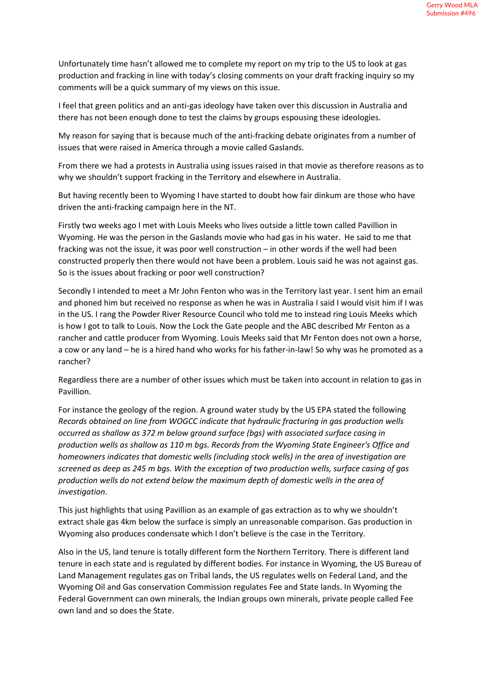Unfortunately time hasn't allowed me to complete my report on my trip to the US to look at gas production and fracking in line with today's closing comments on your draft fracking inquiry so my comments will be a quick summary of my views on this issue.

I feel that green politics and an anti-gas ideology have taken over this discussion in Australia and there has not been enough done to test the claims by groups espousing these ideologies.

My reason for saying that is because much of the anti-fracking debate originates from a number of issues that were raised in America through a movie called Gaslands.

From there we had a protests in Australia using issues raised in that movie as therefore reasons as to why we shouldn't support fracking in the Territory and elsewhere in Australia.

But having recently been to Wyoming I have started to doubt how fair dinkum are those who have driven the anti-fracking campaign here in the NT.

Firstly two weeks ago I met with Louis Meeks who lives outside a little town called Pavillion in Wyoming. He was the person in the Gaslands movie who had gas in his water. He said to me that fracking was not the issue, it was poor well construction – in other words if the well had been constructed properly then there would not have been a problem. Louis said he was not against gas. So is the issues about fracking or poor well construction?

Secondly I intended to meet a Mr John Fenton who was in the Territory last year. I sent him an email and phoned him but received no response as when he was in Australia I said I would visit him if I was in the US. I rang the Powder River Resource Council who told me to instead ring Louis Meeks which is how I got to talk to Louis. Now the Lock the Gate people and the ABC described Mr Fenton as a rancher and cattle producer from Wyoming. Louis Meeks said that Mr Fenton does not own a horse, a cow or any land – he is a hired hand who works for his father-in-law! So why was he promoted as a rancher?

Regardless there are a number of other issues which must be taken into account in relation to gas in Pavillion.

For instance the geology of the region. A ground water study by the US EPA stated the following *Records obtained on line from WOGCC indicate that hydraulic fracturing in gas production wells occurred as shallow as 372 m below ground surface (bgs) with associated surface casing in production wells as shallow as 110 m bgs. Records from the Wyoming State Engineer's Office and homeowners indicates that domestic wells (including stock wells) in the area of investigation are screened as deep as 245 m bgs. With the exception of two production wells, surface casing of gas production wells do not extend below the maximum depth of domestic wells in the area of investigation.*

This just highlights that using Pavillion as an example of gas extraction as to why we shouldn't extract shale gas 4km below the surface is simply an unreasonable comparison. Gas production in Wyoming also produces condensate which I don't believe is the case in the Territory.

Also in the US, land tenure is totally different form the Northern Territory. There is different land tenure in each state and is regulated by different bodies. For instance in Wyoming, the US Bureau of Land Management regulates gas on Tribal lands, the US regulates wells on Federal Land, and the Wyoming Oil and Gas conservation Commission regulates Fee and State lands. In Wyoming the Federal Government can own minerals, the Indian groups own minerals, private people called Fee own land and so does the State.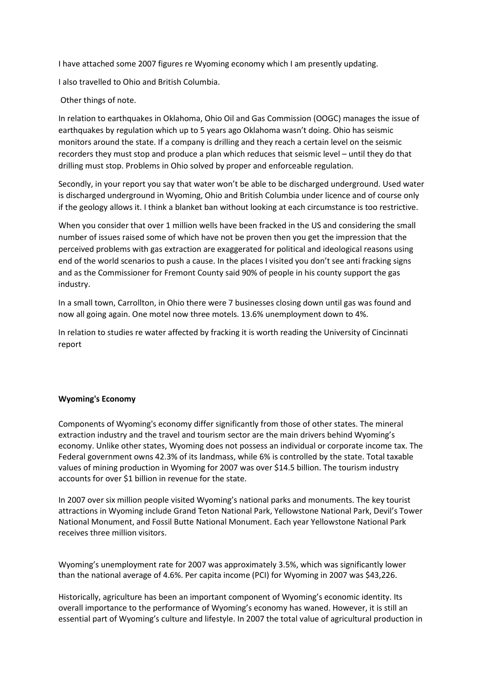I have attached some 2007 figures re Wyoming economy which I am presently updating.

I also travelled to Ohio and British Columbia.

Other things of note.

In relation to earthquakes in Oklahoma, Ohio Oil and Gas Commission (OOGC) manages the issue of earthquakes by regulation which up to 5 years ago Oklahoma wasn't doing. Ohio has seismic monitors around the state. If a company is drilling and they reach a certain level on the seismic recorders they must stop and produce a plan which reduces that seismic level – until they do that drilling must stop. Problems in Ohio solved by proper and enforceable regulation.

Secondly, in your report you say that water won't be able to be discharged underground. Used water is discharged underground in Wyoming, Ohio and British Columbia under licence and of course only if the geology allows it. I think a blanket ban without looking at each circumstance is too restrictive.

When you consider that over 1 million wells have been fracked in the US and considering the small number of issues raised some of which have not be proven then you get the impression that the perceived problems with gas extraction are exaggerated for political and ideological reasons using end of the world scenarios to push a cause. In the places I visited you don't see anti fracking signs and as the Commissioner for Fremont County said 90% of people in his county support the gas industry.

In a small town, Carrollton, in Ohio there were 7 businesses closing down until gas was found and now all going again. One motel now three motels. 13.6% unemployment down to 4%.

In relation to studies re water affected by fracking it is worth reading the University of Cincinnati report

## **Wyoming's Economy**

Components of Wyoming's economy differ significantly from those of other states. The mineral extraction industry and the travel and tourism sector are the main drivers behind Wyoming's economy. Unlike other states, Wyoming does not possess an individual or corporate income tax. The Federal government owns 42.3% of its landmass, while 6% is controlled by the state. Total taxable values of mining production in Wyoming for 2007 was over \$14.5 billion. The tourism industry accounts for over \$1 billion in revenue for the state.

In 2007 over six million people visited Wyoming's national parks and monuments. The key tourist attractions in Wyoming include Grand Teton National Park, Yellowstone National Park, Devil's Tower National Monument, and Fossil Butte National Monument. Each year Yellowstone National Park receives three million visitors.

Wyoming's unemployment rate for 2007 was approximately 3.5%, which was significantly lower than the national average of 4.6%. Per capita income (PCI) for Wyoming in 2007 was \$43,226.

Historically, agriculture has been an important component of Wyoming's economic identity. Its overall importance to the performance of Wyoming's economy has waned. However, it is still an essential part of Wyoming's culture and lifestyle. In 2007 the total value of agricultural production in